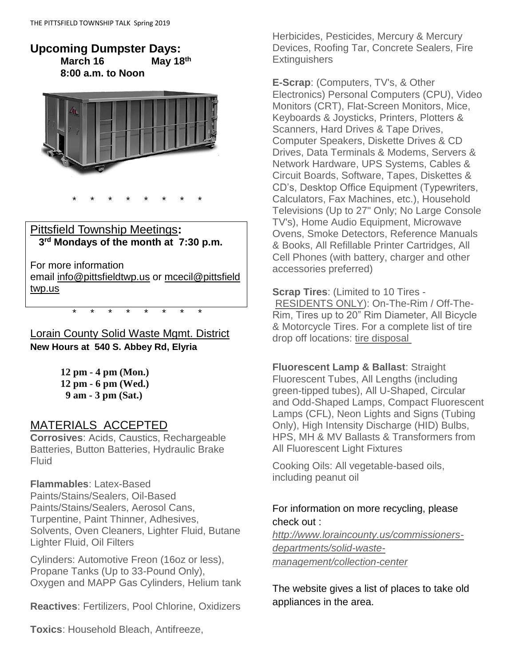#### **Upcoming Dumpster Days: March 16 May 18th 8:00 a.m. to Noon**



### Pittsfield Township Meetings**: 3 rd Mondays of the month at 7:30 p.m.**

\* \* \* \* \* \* \* \*

For more information email [info@pittsfieldtwp.us](mailto:info@pittsfieldtwp.u) or [mcecil@pittsfield](mailto:tdiedrick@pittsfieldtwp.us) [twp.us](mailto:tdiedrick@pittsfieldtwp.us)

Lorain County Solid Waste Mgmt. District **New Hours at 540 S. Abbey Rd, Elyria**

\* \* \* \* \* \* \* \*

**12 pm - 4 pm (Mon.) 12 pm - 6 pm (Wed.) 9 am - 3 pm (Sat.)** 

### MATERIALS ACCEPTED

**Corrosives**: Acids, Caustics, Rechargeable Batteries, Button Batteries, Hydraulic Brake Fluid

#### **Flammables**: Latex-Based

Paints/Stains/Sealers, Oil-Based Paints/Stains/Sealers, Aerosol Cans, Turpentine, Paint Thinner, Adhesives, Solvents, Oven Cleaners, Lighter Fluid, Butane Lighter Fluid, Oil Filters

Cylinders: Automotive Freon (16oz or less), Propane Tanks (Up to 33-Pound Only), Oxygen and MAPP Gas Cylinders, Helium tank

**Reactives**: Fertilizers, Pool Chlorine, Oxidizers

**Toxics**: Household Bleach, Antifreeze,

Herbicides, Pesticides, Mercury & Mercury Devices, Roofing Tar, Concrete Sealers, Fire **Extinguishers** 

**E-Scrap**: (Computers, TV's, & Other Electronics) Personal Computers (CPU), Video Monitors (CRT), Flat-Screen Monitors, Mice, Keyboards & Joysticks, Printers, Plotters & Scanners, Hard Drives & Tape Drives, Computer Speakers, Diskette Drives & CD Drives, Data Terminals & Modems, Servers & Network Hardware, UPS Systems, Cables & Circuit Boards, Software, Tapes, Diskettes & CD's, Desktop Office Equipment (Typewriters, Calculators, Fax Machines, etc.), Household Televisions (Up to 27" Only; No Large Console TV's), Home Audio Equipment, Microwave Ovens, Smoke Detectors, Reference Manuals & Books, All Refillable Printer Cartridges, All Cell Phones (with battery, charger and other accessories preferred)

**Scrap Tires**: (Limited to 10 Tires - RESIDENTS ONLY): On-The-Rim / Off-The-Rim, Tires up to 20" Rim Diameter, All Bicycle & Motorcycle Tires. For a complete list of tire drop off locations: [tire disposal](http://www.loraincounty.us/platform/cms/files/Solid%20Waste/Tire%20Disposal/Flyer-TireSites-May%2014%20%202018.pdf)

**Fluorescent Lamp & Ballast**: Straight Fluorescent Tubes, All Lengths (including green-tipped tubes), All U-Shaped, Circular and Odd-Shaped Lamps, Compact Fluorescent Lamps (CFL), Neon Lights and Signs (Tubing Only), High Intensity Discharge (HID) Bulbs, HPS, MH & MV Ballasts & Transformers from All Fluorescent Light Fixtures

Cooking Oils: All vegetable-based oils, including peanut oil

### For information on more recycling, please check out :

*[http://www.loraincounty.us/commissioners](http://www.loraincounty.us/commissioners-departments/solid-waste-management/collection-center)[departments/solid-waste](http://www.loraincounty.us/commissioners-departments/solid-waste-management/collection-center)[management/collection-center](http://www.loraincounty.us/commissioners-departments/solid-waste-management/collection-center)*

The website gives a list of places to take old appliances in the area.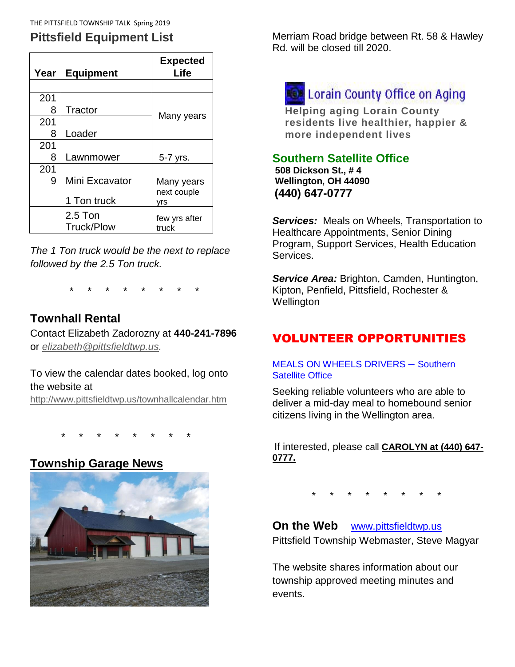# **Pittsfield Equipment List**

| Year | <b>Equipment</b>               | <b>Expected</b><br>Life |
|------|--------------------------------|-------------------------|
|      |                                |                         |
| 201  |                                |                         |
| 8    | Tractor                        |                         |
| 201  |                                | Many years              |
| 8    | Loader                         |                         |
| 201  |                                |                         |
| 8    | Lawnmower                      | 5-7 yrs.                |
| 201  |                                |                         |
| 9    | Mini Excavator                 | Many years              |
|      | 1 Ton truck                    | next couple<br>yrs      |
|      | $2.5$ Ton<br><b>Truck/Plow</b> | few yrs after<br>truck  |

*The 1 Ton truck would be the next to replace followed by the 2.5 Ton truck.*

\* \* \* \* \* \* \* \*

## **Townhall Rental**

Contact Elizabeth Zadorozny at **440-241-7896** or *[elizabeth@pittsfieldtwp.us.](mailto:elizabeth@pittsfieldtwp.us)*

To view the calendar dates booked, log onto the website at <http://www.pittsfieldtwp.us/townhallcalendar.htm>

\* \* \* \* \* \* \* \*

### **Township Garage News**



Merriam Road bridge between Rt. 58 & Hawley Rd. will be closed till 2020.

# **Of Lorain County Office on Aging**

**Helping aging Lorain County residents live healthier, happier & more independent lives**

#### **Southern Satellite Office**

**508 Dickson St., # 4 Wellington, OH 44090 (440) 647-0777**

*Services:* Meals on Wheels, Transportation to Healthcare Appointments, Senior Dining Program, Support Services, Health Education Services.

*Service Area:* Brighton, Camden, Huntington, Kipton, Penfield, Pittsfield, Rochester & **Wellington** 

# VOLUNTEER OPPORTUNITIES

#### MEALS ON WHEELS DRIVERS – Southern Satellite Office

Seeking reliable volunteers who are able to deliver a mid-day meal to homebound senior citizens living in the Wellington area.

If interested, please call **CAROLYN at (440) 647- 0777.**

\* \* \* \* \* \* \* \*

**On the Web** [www.pittsfieldtwp.us](http://www.pittsfieldtwp.us/) Pittsfield Township Webmaster, Steve Magyar

The website shares information about our township approved meeting minutes and events.